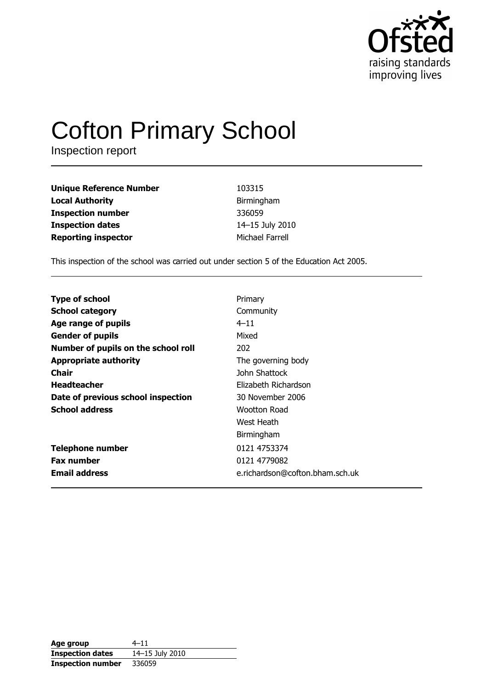

# **Cofton Primary School**

Inspection report

| <b>Unique Reference Number</b> | 103315          |
|--------------------------------|-----------------|
| <b>Local Authority</b>         | Birmingham      |
| <b>Inspection number</b>       | 336059          |
| <b>Inspection dates</b>        | 14-15 July 2010 |
| <b>Reporting inspector</b>     | Michael Farrell |

This inspection of the school was carried out under section 5 of the Education Act 2005.

| <b>Type of school</b>               | Primary                         |
|-------------------------------------|---------------------------------|
| <b>School category</b>              | Community                       |
| Age range of pupils                 | $4 - 11$                        |
| <b>Gender of pupils</b>             | Mixed                           |
| Number of pupils on the school roll | 202                             |
| <b>Appropriate authority</b>        | The governing body              |
| <b>Chair</b>                        | John Shattock                   |
| <b>Headteacher</b>                  | Elizabeth Richardson            |
| Date of previous school inspection  | 30 November 2006                |
| <b>School address</b>               | Wootton Road                    |
|                                     | West Heath                      |
|                                     | Birmingham                      |
| <b>Telephone number</b>             | 0121 4753374                    |
| <b>Fax number</b>                   | 0121 4779082                    |
| <b>Email address</b>                | e.richardson@cofton.bham.sch.uk |

| Age group                | $4 - 11$        |
|--------------------------|-----------------|
| <b>Inspection dates</b>  | 14-15 July 2010 |
| <b>Inspection number</b> | 336059          |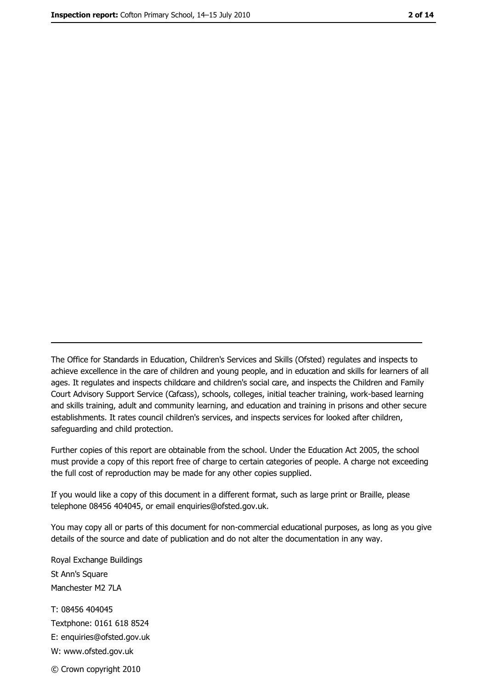The Office for Standards in Education, Children's Services and Skills (Ofsted) regulates and inspects to achieve excellence in the care of children and young people, and in education and skills for learners of all ages. It regulates and inspects childcare and children's social care, and inspects the Children and Family Court Advisory Support Service (Cafcass), schools, colleges, initial teacher training, work-based learning and skills training, adult and community learning, and education and training in prisons and other secure establishments. It rates council children's services, and inspects services for looked after children, safequarding and child protection.

Further copies of this report are obtainable from the school. Under the Education Act 2005, the school must provide a copy of this report free of charge to certain categories of people. A charge not exceeding the full cost of reproduction may be made for any other copies supplied.

If you would like a copy of this document in a different format, such as large print or Braille, please telephone 08456 404045, or email enquiries@ofsted.gov.uk.

You may copy all or parts of this document for non-commercial educational purposes, as long as you give details of the source and date of publication and do not alter the documentation in any way.

Royal Exchange Buildings St Ann's Square Manchester M2 7LA T: 08456 404045 Textphone: 0161 618 8524 E: enquiries@ofsted.gov.uk W: www.ofsted.gov.uk © Crown copyright 2010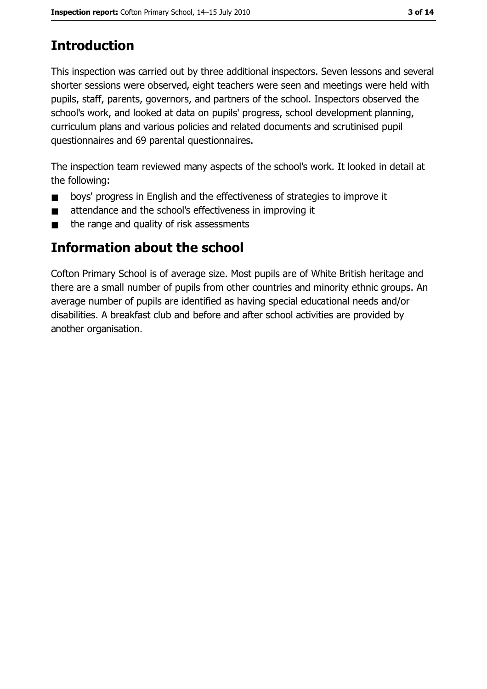# **Introduction**

This inspection was carried out by three additional inspectors. Seven lessons and several shorter sessions were observed, eight teachers were seen and meetings were held with pupils, staff, parents, governors, and partners of the school. Inspectors observed the school's work, and looked at data on pupils' progress, school development planning, curriculum plans and various policies and related documents and scrutinised pupil questionnaires and 69 parental questionnaires.

The inspection team reviewed many aspects of the school's work. It looked in detail at the following:

- boys' progress in English and the effectiveness of strategies to improve it  $\blacksquare$
- attendance and the school's effectiveness in improving it  $\blacksquare$
- the range and quality of risk assessments  $\blacksquare$

## Information about the school

Cofton Primary School is of average size. Most pupils are of White British heritage and there are a small number of pupils from other countries and minority ethnic groups. An average number of pupils are identified as having special educational needs and/or disabilities. A breakfast club and before and after school activities are provided by another organisation.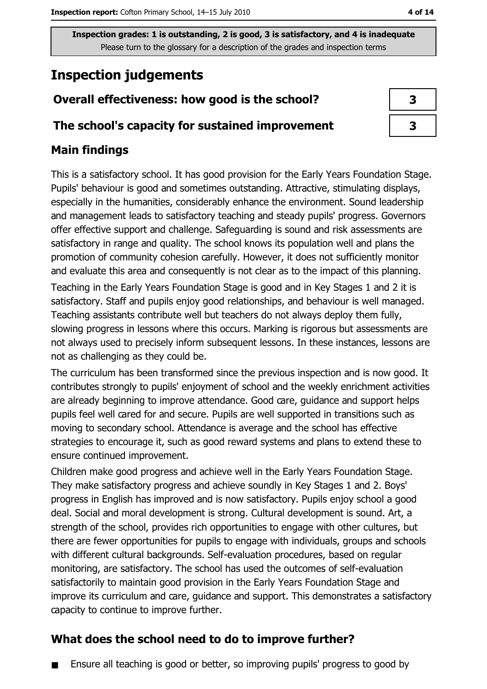# **Inspection judgements**

## Overall effectiveness: how good is the school?

#### The school's capacity for sustained improvement

## **Main findings**

This is a satisfactory school. It has good provision for the Early Years Foundation Stage. Pupils' behaviour is good and sometimes outstanding. Attractive, stimulating displays, especially in the humanities, considerably enhance the environment. Sound leadership and management leads to satisfactory teaching and steady pupils' progress. Governors offer effective support and challenge. Safeguarding is sound and risk assessments are satisfactory in range and quality. The school knows its population well and plans the promotion of community cohesion carefully. However, it does not sufficiently monitor and evaluate this area and consequently is not clear as to the impact of this planning. Teaching in the Early Years Foundation Stage is good and in Key Stages 1 and 2 it is satisfactory. Staff and pupils enjoy good relationships, and behaviour is well managed. Teaching assistants contribute well but teachers do not always deploy them fully, slowing progress in lessons where this occurs. Marking is rigorous but assessments are not always used to precisely inform subsequent lessons. In these instances, lessons are not as challenging as they could be.

The curriculum has been transformed since the previous inspection and is now good. It contributes strongly to pupils' enjoyment of school and the weekly enrichment activities are already beginning to improve attendance. Good care, guidance and support helps pupils feel well cared for and secure. Pupils are well supported in transitions such as moving to secondary school. Attendance is average and the school has effective strategies to encourage it, such as good reward systems and plans to extend these to ensure continued improvement.

Children make good progress and achieve well in the Early Years Foundation Stage. They make satisfactory progress and achieve soundly in Key Stages 1 and 2. Boys' progress in English has improved and is now satisfactory. Pupils enjoy school a good deal. Social and moral development is strong. Cultural development is sound. Art, a strength of the school, provides rich opportunities to engage with other cultures, but there are fewer opportunities for pupils to engage with individuals, groups and schools with different cultural backgrounds. Self-evaluation procedures, based on regular monitoring, are satisfactory. The school has used the outcomes of self-evaluation satisfactorily to maintain good provision in the Early Years Foundation Stage and improve its curriculum and care, quidance and support. This demonstrates a satisfactory capacity to continue to improve further.

### What does the school need to do to improve further?

Ensure all teaching is good or better, so improving pupils' progress to good by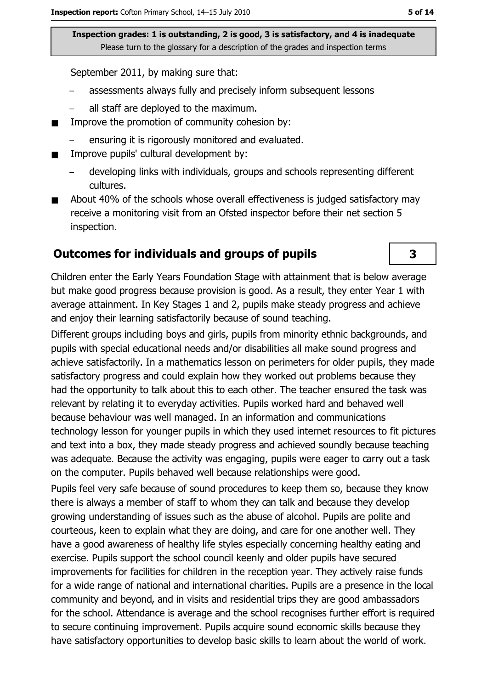September 2011, by making sure that:

- assessments always fully and precisely inform subsequent lessons
- all staff are deploved to the maximum.
- Improve the promotion of community cohesion by:  $\blacksquare$ 
	- ensuring it is rigorously monitored and evaluated.
- Improve pupils' cultural development by:  $\blacksquare$ 
	- developing links with individuals, groups and schools representing different cultures.
- About 40% of the schools whose overall effectiveness is judged satisfactory may  $\blacksquare$ receive a monitoring visit from an Ofsted inspector before their net section 5 inspection.

#### **Outcomes for individuals and groups of pupils**

Children enter the Early Years Foundation Stage with attainment that is below average but make good progress because provision is good. As a result, they enter Year 1 with average attainment. In Key Stages 1 and 2, pupils make steady progress and achieve and enjoy their learning satisfactorily because of sound teaching.

Different groups including boys and girls, pupils from minority ethnic backgrounds, and pupils with special educational needs and/or disabilities all make sound progress and achieve satisfactorily. In a mathematics lesson on perimeters for older pupils, they made satisfactory progress and could explain how they worked out problems because they had the opportunity to talk about this to each other. The teacher ensured the task was relevant by relating it to everyday activities. Pupils worked hard and behaved well because behaviour was well managed. In an information and communications technology lesson for younger pupils in which they used internet resources to fit pictures and text into a box, they made steady progress and achieved soundly because teaching was adequate. Because the activity was engaging, pupils were eager to carry out a task on the computer. Pupils behaved well because relationships were good.

Pupils feel very safe because of sound procedures to keep them so, because they know there is always a member of staff to whom they can talk and because they develop growing understanding of issues such as the abuse of alcohol. Pupils are polite and courteous, keen to explain what they are doing, and care for one another well. They have a good awareness of healthy life styles especially concerning healthy eating and exercise. Pupils support the school council keenly and older pupils have secured improvements for facilities for children in the reception year. They actively raise funds for a wide range of national and international charities. Pupils are a presence in the local community and beyond, and in visits and residential trips they are good ambassadors for the school. Attendance is average and the school recognises further effort is required to secure continuing improvement. Pupils acquire sound economic skills because they have satisfactory opportunities to develop basic skills to learn about the world of work.

#### 3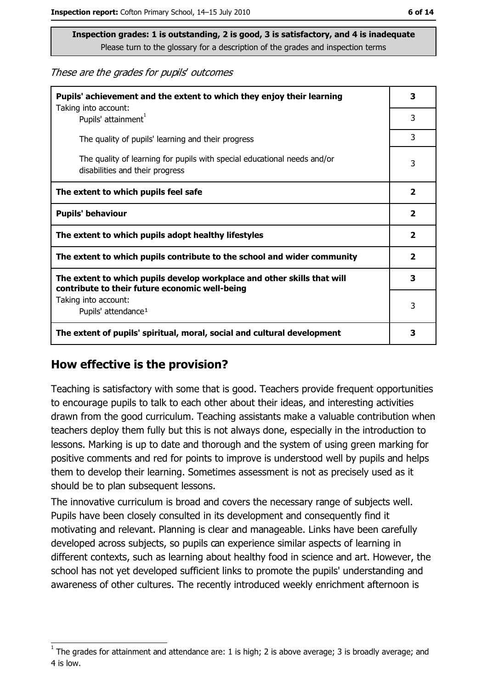These are the grades for pupils' outcomes

| Pupils' achievement and the extent to which they enjoy their learning<br>Taking into account:                             | 3                       |
|---------------------------------------------------------------------------------------------------------------------------|-------------------------|
| Pupils' attainment <sup>1</sup>                                                                                           | 3                       |
| The quality of pupils' learning and their progress                                                                        | 3                       |
| The quality of learning for pupils with special educational needs and/or<br>disabilities and their progress               | 3                       |
| The extent to which pupils feel safe                                                                                      | $\overline{\mathbf{2}}$ |
| <b>Pupils' behaviour</b>                                                                                                  | $\mathbf{2}$            |
| The extent to which pupils adopt healthy lifestyles                                                                       | $\overline{\mathbf{2}}$ |
| The extent to which pupils contribute to the school and wider community                                                   |                         |
| The extent to which pupils develop workplace and other skills that will<br>contribute to their future economic well-being | 3                       |
| Taking into account:<br>Pupils' attendance <sup>1</sup>                                                                   | 3                       |
| The extent of pupils' spiritual, moral, social and cultural development                                                   | 3                       |

#### How effective is the provision?

Teaching is satisfactory with some that is good. Teachers provide frequent opportunities to encourage pupils to talk to each other about their ideas, and interesting activities drawn from the good curriculum. Teaching assistants make a valuable contribution when teachers deploy them fully but this is not always done, especially in the introduction to lessons. Marking is up to date and thorough and the system of using green marking for positive comments and red for points to improve is understood well by pupils and helps them to develop their learning. Sometimes assessment is not as precisely used as it should be to plan subsequent lessons.

The innovative curriculum is broad and covers the necessary range of subjects well. Pupils have been closely consulted in its development and consequently find it motivating and relevant. Planning is clear and manageable. Links have been carefully developed across subjects, so pupils can experience similar aspects of learning in different contexts, such as learning about healthy food in science and art. However, the school has not yet developed sufficient links to promote the pupils' understanding and awareness of other cultures. The recently introduced weekly enrichment afternoon is

The grades for attainment and attendance are: 1 is high; 2 is above average; 3 is broadly average; and 4 is low.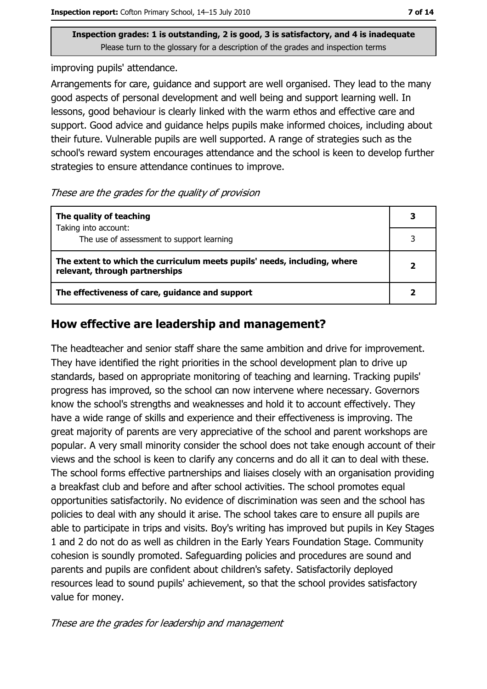improving pupils' attendance.

Arrangements for care, guidance and support are well organised. They lead to the many good aspects of personal development and well being and support learning well. In lessons, good behaviour is clearly linked with the warm ethos and effective care and support. Good advice and guidance helps pupils make informed choices, including about their future. Vulnerable pupils are well supported. A range of strategies such as the school's reward system encourages attendance and the school is keen to develop further strategies to ensure attendance continues to improve.

#### These are the grades for the quality of provision

| The quality of teaching                                                                                    | 3                       |
|------------------------------------------------------------------------------------------------------------|-------------------------|
| Taking into account:<br>The use of assessment to support learning                                          |                         |
| The extent to which the curriculum meets pupils' needs, including, where<br>relevant, through partnerships | $\overline{\mathbf{2}}$ |
| The effectiveness of care, guidance and support                                                            |                         |

#### How effective are leadership and management?

The headteacher and senior staff share the same ambition and drive for improvement. They have identified the right priorities in the school development plan to drive up standards, based on appropriate monitoring of teaching and learning. Tracking pupils' progress has improved, so the school can now intervene where necessary. Governors know the school's strengths and weaknesses and hold it to account effectively. They have a wide range of skills and experience and their effectiveness is improving. The great majority of parents are very appreciative of the school and parent workshops are popular. A very small minority consider the school does not take enough account of their views and the school is keen to clarify any concerns and do all it can to deal with these. The school forms effective partnerships and liaises closely with an organisation providing a breakfast club and before and after school activities. The school promotes equal opportunities satisfactorily. No evidence of discrimination was seen and the school has policies to deal with any should it arise. The school takes care to ensure all pupils are able to participate in trips and visits. Boy's writing has improved but pupils in Key Stages 1 and 2 do not do as well as children in the Early Years Foundation Stage. Community cohesion is soundly promoted. Safeguarding policies and procedures are sound and parents and pupils are confident about children's safety. Satisfactorily deployed resources lead to sound pupils' achievement, so that the school provides satisfactory value for money.

These are the grades for leadership and management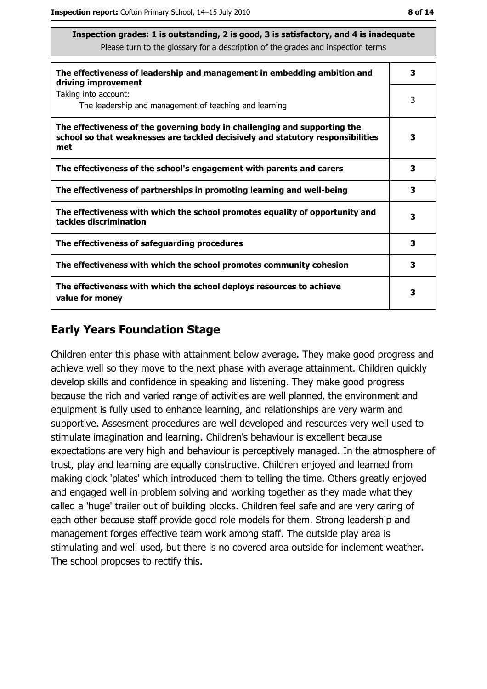| The effectiveness of leadership and management in embedding ambition and<br>driving improvement                                                                     | 3 |
|---------------------------------------------------------------------------------------------------------------------------------------------------------------------|---|
| Taking into account:<br>The leadership and management of teaching and learning                                                                                      | 3 |
| The effectiveness of the governing body in challenging and supporting the<br>school so that weaknesses are tackled decisively and statutory responsibilities<br>met | 3 |
| The effectiveness of the school's engagement with parents and carers                                                                                                | з |
| The effectiveness of partnerships in promoting learning and well-being                                                                                              | 3 |
| The effectiveness with which the school promotes equality of opportunity and<br>tackles discrimination                                                              | 3 |
| The effectiveness of safeguarding procedures                                                                                                                        | 3 |
| The effectiveness with which the school promotes community cohesion                                                                                                 | 3 |
| The effectiveness with which the school deploys resources to achieve<br>value for money                                                                             | 3 |

#### **Early Years Foundation Stage**

Children enter this phase with attainment below average. They make good progress and achieve well so they move to the next phase with average attainment. Children quickly develop skills and confidence in speaking and listening. They make good progress because the rich and varied range of activities are well planned, the environment and equipment is fully used to enhance learning, and relationships are very warm and supportive. Assesment procedures are well developed and resources very well used to stimulate imagination and learning. Children's behaviour is excellent because expectations are very high and behaviour is perceptively managed. In the atmosphere of trust, play and learning are equally constructive. Children enjoyed and learned from making clock 'plates' which introduced them to telling the time. Others greatly enjoyed and engaged well in problem solving and working together as they made what they called a 'huge' trailer out of building blocks. Children feel safe and are very caring of each other because staff provide good role models for them. Strong leadership and management forges effective team work among staff. The outside play area is stimulating and well used, but there is no covered area outside for inclement weather. The school proposes to rectify this.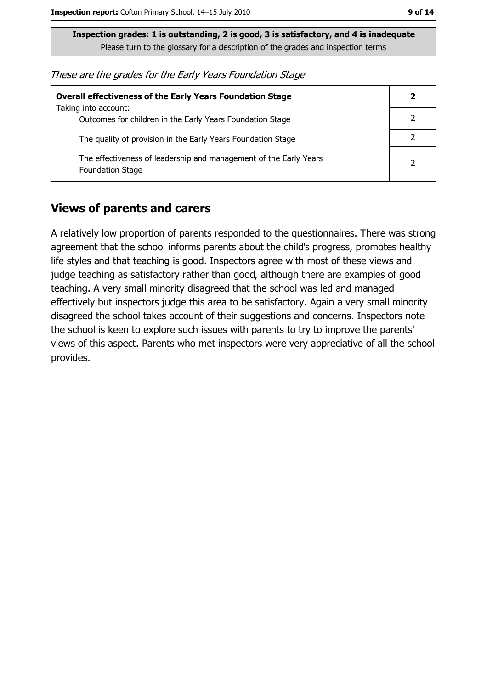| These are the grades for the Early Years Foundation Stage |  |  |
|-----------------------------------------------------------|--|--|
|-----------------------------------------------------------|--|--|

| <b>Overall effectiveness of the Early Years Foundation Stage</b><br>Taking into account:     | 2             |
|----------------------------------------------------------------------------------------------|---------------|
| Outcomes for children in the Early Years Foundation Stage                                    |               |
| The quality of provision in the Early Years Foundation Stage                                 |               |
| The effectiveness of leadership and management of the Early Years<br><b>Foundation Stage</b> | $\mathcal{P}$ |

#### **Views of parents and carers**

A relatively low proportion of parents responded to the questionnaires. There was strong agreement that the school informs parents about the child's progress, promotes healthy life styles and that teaching is good. Inspectors agree with most of these views and judge teaching as satisfactory rather than good, although there are examples of good teaching. A very small minority disagreed that the school was led and managed effectively but inspectors judge this area to be satisfactory. Again a very small minority disagreed the school takes account of their suggestions and concerns. Inspectors note the school is keen to explore such issues with parents to try to improve the parents' views of this aspect. Parents who met inspectors were very appreciative of all the school provides.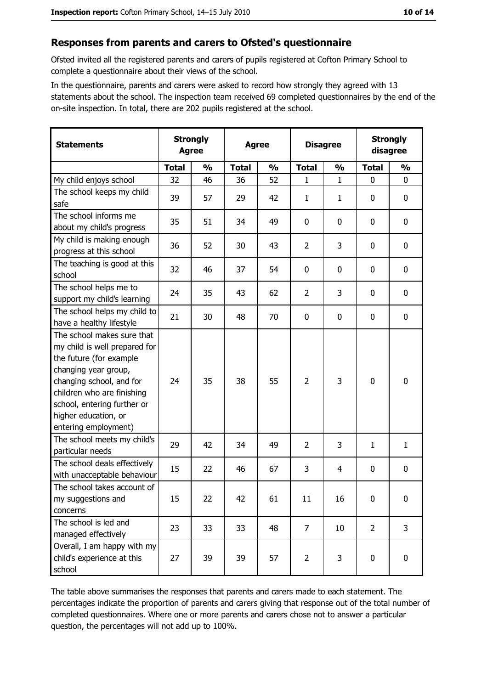#### Responses from parents and carers to Ofsted's questionnaire

Ofsted invited all the registered parents and carers of pupils registered at Cofton Primary School to complete a questionnaire about their views of the school.

In the questionnaire, parents and carers were asked to record how strongly they agreed with 13 statements about the school. The inspection team received 69 completed questionnaires by the end of the on-site inspection. In total, there are 202 pupils registered at the school.

| <b>Statements</b>                                                                                                                                                                                                                                       | <b>Strongly</b><br><b>Agree</b> |               | <b>Agree</b> |               | <b>Disagree</b> |               | <b>Strongly</b><br>disagree |               |
|---------------------------------------------------------------------------------------------------------------------------------------------------------------------------------------------------------------------------------------------------------|---------------------------------|---------------|--------------|---------------|-----------------|---------------|-----------------------------|---------------|
|                                                                                                                                                                                                                                                         | <b>Total</b>                    | $\frac{0}{0}$ | <b>Total</b> | $\frac{0}{0}$ | <b>Total</b>    | $\frac{0}{0}$ | <b>Total</b>                | $\frac{0}{0}$ |
| My child enjoys school                                                                                                                                                                                                                                  | 32                              | 46            | 36           | 52            | 1               | 1             | $\mathbf 0$                 | $\mathbf 0$   |
| The school keeps my child<br>safe                                                                                                                                                                                                                       | 39                              | 57            | 29           | 42            | $\mathbf{1}$    | $\mathbf{1}$  | 0                           | $\bf{0}$      |
| The school informs me<br>about my child's progress                                                                                                                                                                                                      | 35                              | 51            | 34           | 49            | 0               | 0             | 0                           | 0             |
| My child is making enough<br>progress at this school                                                                                                                                                                                                    | 36                              | 52            | 30           | 43            | $\overline{2}$  | 3             | 0                           | $\mathbf 0$   |
| The teaching is good at this<br>school                                                                                                                                                                                                                  | 32                              | 46            | 37           | 54            | $\mathbf 0$     | 0             | 0                           | $\mathbf 0$   |
| The school helps me to<br>support my child's learning                                                                                                                                                                                                   | 24                              | 35            | 43           | 62            | $\overline{2}$  | 3             | 0                           | $\mathbf 0$   |
| The school helps my child to<br>have a healthy lifestyle                                                                                                                                                                                                | 21                              | 30            | 48           | 70            | $\mathbf 0$     | 0             | $\mathbf 0$                 | $\mathbf 0$   |
| The school makes sure that<br>my child is well prepared for<br>the future (for example<br>changing year group,<br>changing school, and for<br>children who are finishing<br>school, entering further or<br>higher education, or<br>entering employment) | 24                              | 35            | 38           | 55            | $\overline{2}$  | 3             | 0                           | $\mathbf 0$   |
| The school meets my child's<br>particular needs                                                                                                                                                                                                         | 29                              | 42            | 34           | 49            | $\overline{2}$  | 3             | 1                           | $\mathbf{1}$  |
| The school deals effectively<br>with unacceptable behaviour                                                                                                                                                                                             | 15                              | 22            | 46           | 67            | 3               | 4             | 0                           | 0             |
| The school takes account of<br>my suggestions and<br>concerns                                                                                                                                                                                           | 15                              | 22            | 42           | 61            | 11              | 16            | $\mathbf 0$                 | $\mathbf 0$   |
| The school is led and<br>managed effectively                                                                                                                                                                                                            | 23                              | 33            | 33           | 48            | $\overline{7}$  | 10            | $\overline{2}$              | 3             |
| Overall, I am happy with my<br>child's experience at this<br>school                                                                                                                                                                                     | 27                              | 39            | 39           | 57            | $\overline{2}$  | 3             | 0                           | $\mathbf 0$   |

The table above summarises the responses that parents and carers made to each statement. The percentages indicate the proportion of parents and carers giving that response out of the total number of completed questionnaires. Where one or more parents and carers chose not to answer a particular question, the percentages will not add up to 100%.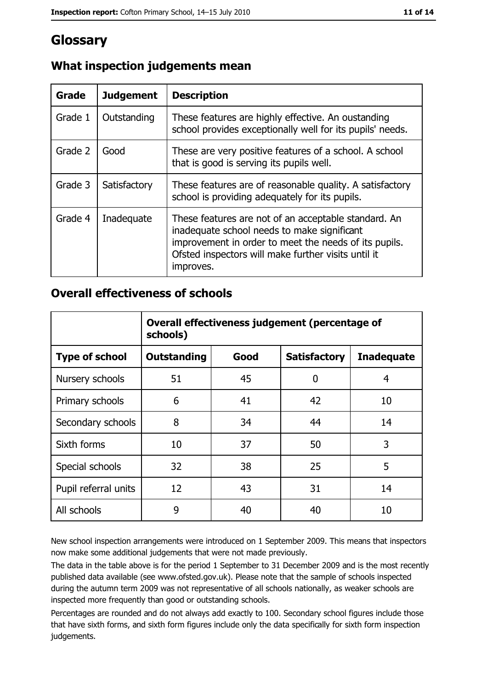## Glossary

| Grade   | <b>Judgement</b> | <b>Description</b>                                                                                                                                                                                                               |
|---------|------------------|----------------------------------------------------------------------------------------------------------------------------------------------------------------------------------------------------------------------------------|
| Grade 1 | Outstanding      | These features are highly effective. An oustanding<br>school provides exceptionally well for its pupils' needs.                                                                                                                  |
| Grade 2 | Good             | These are very positive features of a school. A school<br>that is good is serving its pupils well.                                                                                                                               |
| Grade 3 | Satisfactory     | These features are of reasonable quality. A satisfactory<br>school is providing adequately for its pupils.                                                                                                                       |
| Grade 4 | Inadequate       | These features are not of an acceptable standard. An<br>inadequate school needs to make significant<br>improvement in order to meet the needs of its pupils.<br>Ofsted inspectors will make further visits until it<br>improves. |

### What inspection judgements mean

#### **Overall effectiveness of schools**

|                       | Overall effectiveness judgement (percentage of<br>schools) |      |                     |                   |
|-----------------------|------------------------------------------------------------|------|---------------------|-------------------|
| <b>Type of school</b> | <b>Outstanding</b>                                         | Good | <b>Satisfactory</b> | <b>Inadequate</b> |
| Nursery schools       | 51                                                         | 45   | 0                   | 4                 |
| Primary schools       | 6                                                          | 41   | 42                  | 10                |
| Secondary schools     | 8                                                          | 34   | 44                  | 14                |
| Sixth forms           | 10                                                         | 37   | 50                  | 3                 |
| Special schools       | 32                                                         | 38   | 25                  | 5                 |
| Pupil referral units  | 12                                                         | 43   | 31                  | 14                |
| All schools           | 9                                                          | 40   | 40                  | 10                |

New school inspection arrangements were introduced on 1 September 2009. This means that inspectors now make some additional judgements that were not made previously.

The data in the table above is for the period 1 September to 31 December 2009 and is the most recently published data available (see www.ofsted.gov.uk). Please note that the sample of schools inspected during the autumn term 2009 was not representative of all schools nationally, as weaker schools are inspected more frequently than good or outstanding schools.

Percentages are rounded and do not always add exactly to 100. Secondary school figures include those that have sixth forms, and sixth form figures include only the data specifically for sixth form inspection judgements.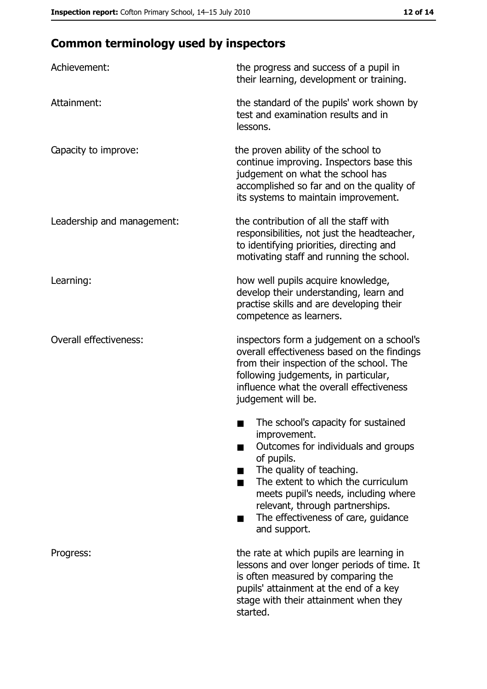# **Common terminology used by inspectors**

| Achievement:                  | the progress and success of a pupil in<br>their learning, development or training.                                                                                                                                                                                                                           |
|-------------------------------|--------------------------------------------------------------------------------------------------------------------------------------------------------------------------------------------------------------------------------------------------------------------------------------------------------------|
| Attainment:                   | the standard of the pupils' work shown by<br>test and examination results and in<br>lessons.                                                                                                                                                                                                                 |
| Capacity to improve:          | the proven ability of the school to<br>continue improving. Inspectors base this<br>judgement on what the school has<br>accomplished so far and on the quality of<br>its systems to maintain improvement.                                                                                                     |
| Leadership and management:    | the contribution of all the staff with<br>responsibilities, not just the headteacher,<br>to identifying priorities, directing and<br>motivating staff and running the school.                                                                                                                                |
| Learning:                     | how well pupils acquire knowledge,<br>develop their understanding, learn and<br>practise skills and are developing their<br>competence as learners.                                                                                                                                                          |
| <b>Overall effectiveness:</b> | inspectors form a judgement on a school's<br>overall effectiveness based on the findings<br>from their inspection of the school. The<br>following judgements, in particular,<br>influence what the overall effectiveness<br>judgement will be.                                                               |
|                               | The school's capacity for sustained<br>improvement.<br>Outcomes for individuals and groups<br>of pupils.<br>The quality of teaching.<br>The extent to which the curriculum<br>meets pupil's needs, including where<br>relevant, through partnerships.<br>The effectiveness of care, guidance<br>and support. |
| Progress:                     | the rate at which pupils are learning in<br>lessons and over longer periods of time. It<br>is often measured by comparing the<br>pupils' attainment at the end of a key<br>stage with their attainment when they<br>started.                                                                                 |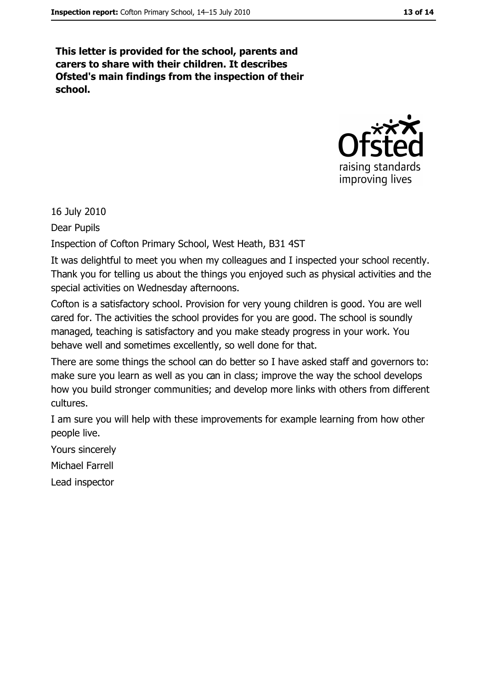This letter is provided for the school, parents and carers to share with their children. It describes Ofsted's main findings from the inspection of their school.



16 July 2010

Dear Pupils

Inspection of Cofton Primary School, West Heath, B31 4ST

It was delightful to meet you when my colleagues and I inspected your school recently. Thank you for telling us about the things you enjoyed such as physical activities and the special activities on Wednesday afternoons.

Cofton is a satisfactory school. Provision for very young children is good. You are well cared for. The activities the school provides for you are good. The school is soundly managed, teaching is satisfactory and you make steady progress in your work. You behave well and sometimes excellently, so well done for that.

There are some things the school can do better so I have asked staff and governors to: make sure you learn as well as you can in class; improve the way the school develops how you build stronger communities; and develop more links with others from different cultures.

I am sure you will help with these improvements for example learning from how other people live.

Yours sincerely

Michael Farrell

Lead inspector